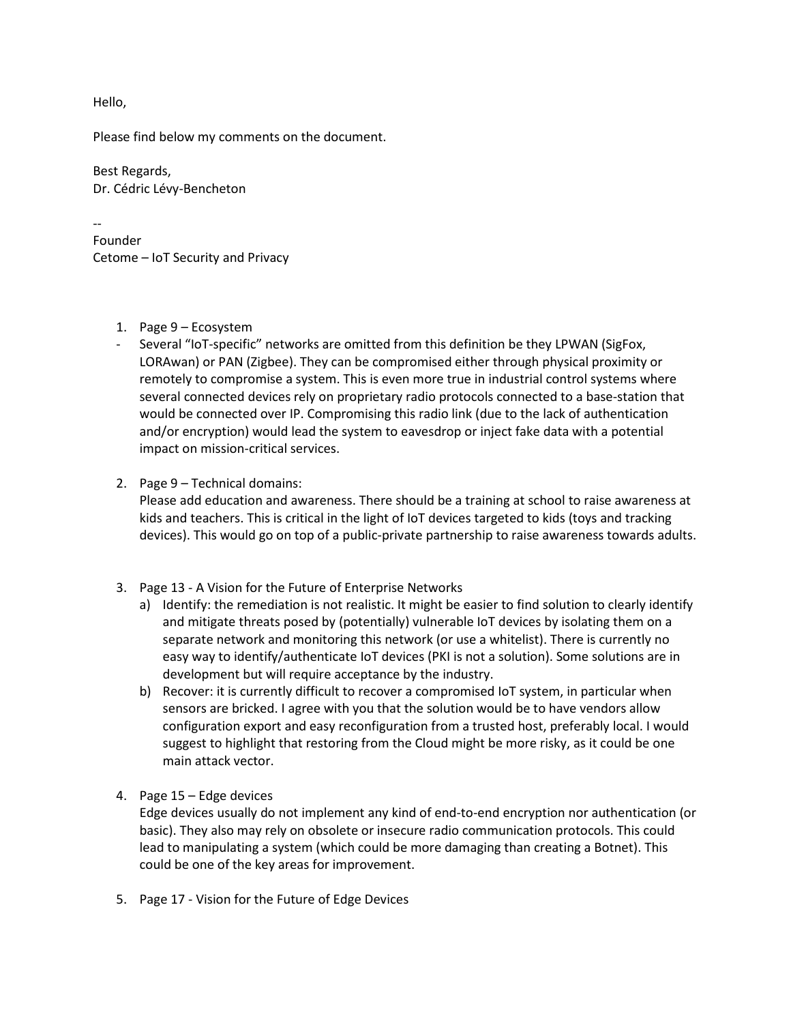Hello,

Please find below my comments on the document.

Best Regards, Dr. Cédric Lévy-Bencheton

-- Founder Cetome – IoT Security and Privacy

- 1. Page 9 Ecosystem
- Several "IoT-specific" networks are omitted from this definition be they LPWAN (SigFox, LORAwan) or PAN (Zigbee). They can be compromised either through physical proximity or remotely to compromise a system. This is even more true in industrial control systems where several connected devices rely on proprietary radio protocols connected to a base-station that would be connected over IP. Compromising this radio link (due to the lack of authentication and/or encryption) would lead the system to eavesdrop or inject fake data with a potential impact on mission-critical services.
- 2. Page 9 Technical domains:

Please add education and awareness. There should be a training at school to raise awareness at kids and teachers. This is critical in the light of IoT devices targeted to kids (toys and tracking devices). This would go on top of a public-private partnership to raise awareness towards adults.

- 3. Page 13 A Vision for the Future of Enterprise Networks
	- a) Identify: the remediation is not realistic. It might be easier to find solution to clearly identify and mitigate threats posed by (potentially) vulnerable IoT devices by isolating them on a separate network and monitoring this network (or use a whitelist). There is currently no easy way to identify/authenticate IoT devices (PKI is not a solution). Some solutions are in development but will require acceptance by the industry.
	- b) Recover: it is currently difficult to recover a compromised IoT system, in particular when sensors are bricked. I agree with you that the solution would be to have vendors allow configuration export and easy reconfiguration from a trusted host, preferably local. I would suggest to highlight that restoring from the Cloud might be more risky, as it could be one main attack vector.
- 4. Page 15 Edge devices

Edge devices usually do not implement any kind of end-to-end encryption nor authentication (or basic). They also may rely on obsolete or insecure radio communication protocols. This could lead to manipulating a system (which could be more damaging than creating a Botnet). This could be one of the key areas for improvement.

5. Page 17 - Vision for the Future of Edge Devices